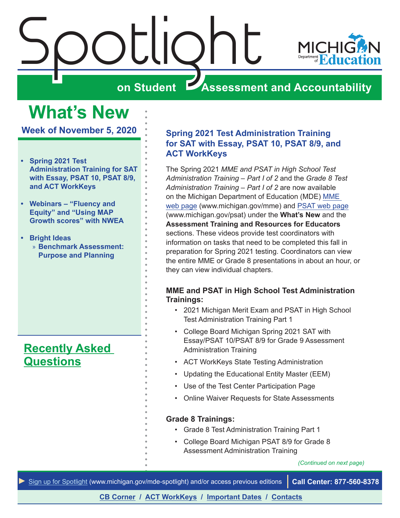<span id="page-0-0"></span>

# **What's New**

**Week of November 5, 2020**

- **• Spring 2021 Test Administration Training for SAT with Essay, PSAT 10, PSAT 8/9, and ACT WorkKeys**
- **• [Webinars "Fluency and](#page-1-0)  [Equity" and "Using MAP](#page-1-0)  [Growth scores" with NWEA](#page-1-0)**
- **• Bright Ideas**
	- » **[Benchmark Assessment:](#page-2-0)  [Purpose and Planning](#page-2-0)**

## **[Recently Asked](#page-8-0)  [Questions](#page-8-0)**

## **Spring 2021 Test Administration Training for SAT with Essay, PSAT 10, PSAT 8/9, and ACT WorkKeys**

The Spring 2021 *MME and PSAT in High School Test Administration Training – Part I of 2* and the *Grade 8 Test Administration Training – Part I of 2* are now available on the Michigan Department of Education (MDE) [MME](www.michigan.gov/mme)  [web page](www.michigan.gov/mme) (www.michigan.gov/mme) and [PSAT web page](http://www.michigan.gov/psat) (www.michigan.gov/psat) under the **What's New** and the **Assessment Training and Resources for Educators** sections. These videos provide test coordinators with information on tasks that need to be completed this fall in preparation for Spring 2021 testing. Coordinators can view the entire MME or Grade 8 presentations in about an hour, or they can view individual chapters.

## **MME and PSAT in High School Test Administration Trainings:**

- 2021 Michigan Merit Exam and PSAT in High School Test Administration Training Part 1
- College Board Michigan Spring 2021 SAT with Essay/PSAT 10/PSAT 8/9 for Grade 9 Assessment Administration Training
- ACT WorkKeys State Testing Administration
- Updating the Educational Entity Master (EEM)
- Use of the Test Center Participation Page
- Online Waiver Requests for State Assessments

## **Grade 8 Trainings:**

- Grade 8 Test Administration Training Part 1
- College Board Michigan PSAT 8/9 for Grade 8 Assessment Administration Training

*(Continued on next page)*

*►* [Sign up for Spotlight](https://public.govdelivery.com/accounts/MIMDE/subscriber/new) ([www.michigan.gov/mde](www.michigan.gov/mde-spotlight)-spotlight) and/or access previous editions **Call Center: 877-560-8378**

**[CB Corner](#page-4-0) / [ACT WorkKeys](#page-7-0) / [Important Dates](#page-9-0) / [Contacts](#page-10-0)**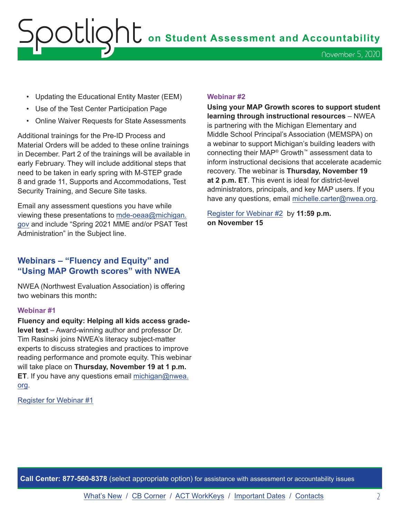# <span id="page-1-0"></span>OOUQht on Student Assessment and Accountability November 5, 2020

- Updating the Educational Entity Master (EEM)
- Use of the Test Center Participation Page
- Online Waiver Requests for State Assessments

Additional trainings for the Pre-ID Process and Material Orders will be added to these online trainings in December. Part 2 of the trainings will be available in early February. They will include additional steps that need to be taken in early spring with M-STEP grade 8 and grade 11, Supports and Accommodations, Test Security Training, and Secure Site tasks.

Email any assessment questions you have while viewing these presentations to [mde-oeaa@michigan.](mailto:mde-oeaa%40michigan.gov?subject=) [gov](mailto:mde-oeaa%40michigan.gov?subject=) and include "Spring 2021 MME and/or PSAT Test Administration" in the Subject line.

## **Webinars – "Fluency and Equity" and "Using MAP Growth scores" with NWEA**

NWEA (Northwest Evaluation Association) is offering two webinars this month**:**

#### **Webinar #1**

**Fluency and equity: Helping all kids access gradelevel text** – Award-winning author and professor Dr. Tim Rasinski joins NWEA's literacy subject-matter experts to discuss strategies and practices to improve reading performance and promote equity. This webinar will take place on **Thursday, November 19 at 1 p.m. ET**. If you have any questions email [michigan@nwea.](mailto:michigan%40nwea.org?subject=) [org.](mailto:michigan%40nwea.org?subject=)

Register for [Webinar #1](https://info.nwea.org/wbr-fluency-and-equity-helping-all-kids-access-grade-level-text.html?utm_source=partner&utm_medium=email&utm_campaign=mde-tactical-enewsletter-early-learning-fluency-fm-11-20&utm_content=wbr-fluency-and-equity-helping-all-kids-access-grade-level-ad-1)

#### **Webinar #2**

**Using your MAP Growth scores to support student learning through instructional resources** – NWEA is partnering with the Michigan Elementary and Middle School Principal's Association (MEMSPA) on a webinar to support Michigan's building leaders with connecting their MAP® Growth™ assessment data to inform instructional decisions that accelerate academic recovery. The webinar is **Thursday, November 19 at 2 p.m. ET**. This event is ideal for district-level administrators, principals, and key MAP users. If you have any questions, email [michelle.carter@nwea.org](mailto:michelle.carter%40nwea.org?subject=).

[Register for Webinar #2](https://info.nwea.org/WB2020-11-19MEMPSAInstructionalGrowth_LP-RegUpdated.html) by **11:59 p.m. on November 15**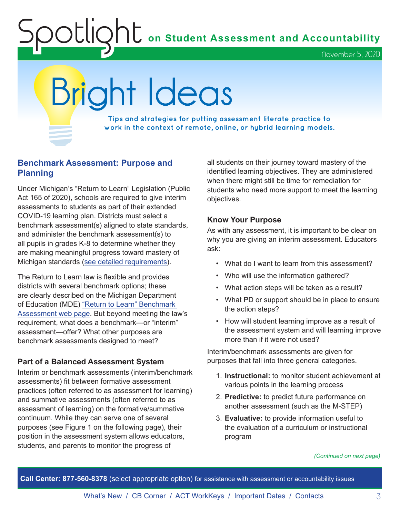**Shows** on Student Assessment and Accountability

November 5, 2020

# <span id="page-2-0"></span>Bright Ideas

**Tips and strategies for putting assessment literate practice to work in the context of remote, online, or hybrid learning models.**

## **Benchmark Assessment: Purpose and Planning**

Under Michigan's "Return to Learn" Legislation (Public Act 165 of 2020), schools are required to give interim assessments to students as part of their extended COVID-19 learning plan. Districts must select a benchmark assessment(s) aligned to state standards, and administer the benchmark assessment(s) to all pupils in grades K-8 to determine whether they are making meaningful progress toward mastery of Michigan standards [\(see detailed requirements\)](http://www.legislature.mi.gov/documents/2019-2020/publicact/pdf/2020-PA-0165.pdf).

The Return to Learn law is flexible and provides districts with several benchmark options; these are clearly described on the Michigan Department of Education (MDE) ["Return to Learn" Benchmark](https://www.michigan.gov/mde/0,4615,7-140-22709_102327---,00.html)  [Assessment web page.](https://www.michigan.gov/mde/0,4615,7-140-22709_102327---,00.html) But beyond meeting the law's requirement, what does a benchmark—or "interim" assessment—offer? What other purposes are benchmark assessments designed to meet?

## **Part of a Balanced Assessment System**

Interim or benchmark assessments (interim/benchmark assessments) fit between formative assessment practices (often referred to as assessment for learning) and summative assessments (often referred to as assessment of learning) on the formative/summative continuum. While they can serve one of several purposes (see Figure 1 on the following page), their position in the assessment system allows educators, students, and parents to monitor the progress of

all students on their journey toward mastery of the identified learning objectives. They are administered when there might still be time for remediation for students who need more support to meet the learning objectives.

## **Know Your Purpose**

As with any assessment, it is important to be clear on why you are giving an interim assessment. Educators ask:

- What do I want to learn from this assessment?
- Who will use the information gathered?
- What action steps will be taken as a result?
- What PD or support should be in place to ensure the action steps?
- How will student learning improve as a result of the assessment system and will learning improve more than if it were not used?

Interim/benchmark assessments are given for purposes that fall into three general categories.

- 1. **Instructional:** to monitor student achievement at various points in the learning process
- 2. **Predictive:** to predict future performance on another assessment (such as the M-STEP)
- 3. **Evaluative:** to provide information useful to the evaluation of a curriculum or instructional program

*(Continued on next page)*

**Call Center: 877-560-8378** (select appropriate option) for assistance with assessment or accountability issues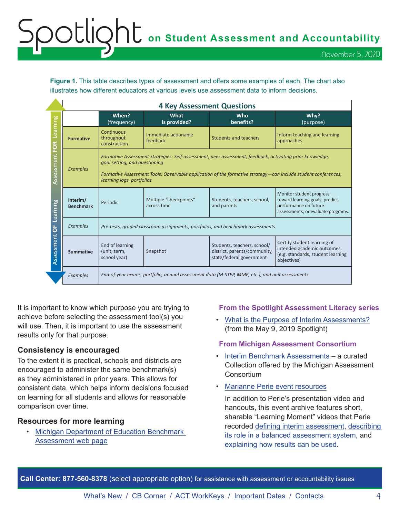# OCLIQht on Student Assessment and Accountability November 5, 2020

**Figure 1.** This table describes types of assessment and offers some examples of each. The chart also illustrates how different educators at various levels use assessment data to inform decisions.

|                        |                              | <b>4 Key Assessment Questions</b>                                                                                                                                                                                                                                                       |                                       |                                                                                         |                                                                                                                           |  |
|------------------------|------------------------------|-----------------------------------------------------------------------------------------------------------------------------------------------------------------------------------------------------------------------------------------------------------------------------------------|---------------------------------------|-----------------------------------------------------------------------------------------|---------------------------------------------------------------------------------------------------------------------------|--|
|                        |                              | When?<br>(frequency)                                                                                                                                                                                                                                                                    | What<br>is provided?                  | Who<br>benefits?                                                                        | Why?<br>(purpose)                                                                                                         |  |
| Learning<br><b>FOR</b> | <b>Formative</b>             | Continuous<br>throughout<br>construction                                                                                                                                                                                                                                                | Immediate actionable<br>feedback      | <b>Students and teachers</b>                                                            | Inform teaching and learning<br>approaches                                                                                |  |
| Assessment             | <b>Examples</b>              | Formative Assessment Strategies: Self-assessment, peer assessment, feedback, activating prior knowledge,<br>goal setting, and questioning<br>Formative Assessment Tools: Observable application of the formative strategy—can include student conferences,<br>learning logs, portfolios |                                       |                                                                                         |                                                                                                                           |  |
| Learning               | Interim/<br><b>Benchmark</b> | Periodic                                                                                                                                                                                                                                                                                | Multiple "checkpoints"<br>across time | Students, teachers, school,<br>and parents                                              | Monitor student progress<br>toward learning goals, predict<br>performance on future<br>assessments, or evaluate programs. |  |
| ŏ                      | <b>Examples</b>              | Pre-tests, graded classroom assignments, portfolios, and benchmark assessments                                                                                                                                                                                                          |                                       |                                                                                         |                                                                                                                           |  |
| Assessment             | <b>Summative</b>             | End of learning<br>(unit, term,<br>school year)                                                                                                                                                                                                                                         | Snapshot                              | Students, teachers, school/<br>district, parents/community,<br>state/federal government | Certify student learning of<br>intended academic outcomes<br>(e.g. standards, student learning<br>objectives)             |  |
|                        | <b>Examples</b>              | End-of-year exams, portfolio, annual assessment data (M-STEP, MME, etc.), and unit assessments                                                                                                                                                                                          |                                       |                                                                                         |                                                                                                                           |  |

It is important to know which purpose you are trying to achieve before selecting the assessment tool(s) you will use. Then, it is important to use the assessment results only for that purpose.

## **Consistency is encouraged**

To the extent it is practical, schools and districts are encouraged to administer the same benchmark(s) as they administered in prior years. This allows for consistent data, which helps inform decisions focused on learning for all students and allows for reasonable comparison over time.

## **Resources for more learning**

• [Michigan Department of Education Benchmark](https://www.michigan.gov/mde/0,4615,7-140-22709_102327---,00.html)  [Assessment web page](https://www.michigan.gov/mde/0,4615,7-140-22709_102327---,00.html)

## **From the Spotlight Assessment Literacy series**

• [What is the Purpose of Interim Assessments?](https://www.michigan.gov/documents/mde/Spotlight_5-9-19_654743_7.pdf#Spotlight_5-9-19.indd%3A.238030%3A11290) (from the May 9, 2019 Spotlight)

#### **From Michigan Assessment Consortium**

- [Interim Benchmark Assessments](https://www.michiganassessmentconsortium.org/assessment-resources/interim-benchmark-assessments/)  a curated Collection offered by the Michigan Assessment **Consortium**
- [Marianne Perie event resources](https://www.michiganassessmentconsortium.org/event/assessment-learning-network-2017-18-event-2/)

In addition to Perie's presentation video and handouts, this event archive features short, sharable "Learning Moment" videos that Perie recorded [defining interim assessment](https://vimeo.com/252886359/127ef6e508), [describing](https://vimeo.com/252886844/0b4c91cbc8)  [its role in a balanced assessment system,](https://vimeo.com/252886844/0b4c91cbc8) and [explaining how results can be used.](https://vimeo.com/252889053/6c409e5821)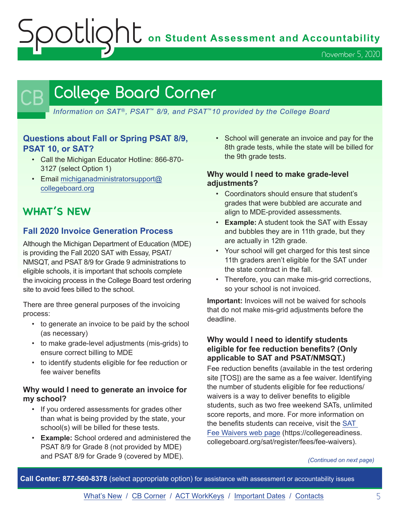**Spotlight** on Student Assessment and Accountability

November 5, 2020

## <span id="page-4-0"></span>College Board Corner

*Information on SAT*®*, PSAT*™ *8/9, and PSAT*™*10 provided by the College Board*

## **Questions about Fall or Spring PSAT 8/9, PSAT 10, or SAT?**

- Call the Michigan Educator Hotline: 866-870- 3127 (select Option 1)
- Email [michiganadministratorsupport@](mailto:michiganadministratorsupport%40collegeboard.org?subject=) [collegeboard.org](mailto:michiganadministratorsupport%40collegeboard.org?subject=)

## **WHAT'S NEW**

## **Fall 2020 Invoice Generation Process**

Although the Michigan Department of Education (MDE) is providing the Fall 2020 SAT with Essay, PSAT/ NMSQT, and PSAT 8/9 for Grade 9 administrations to eligible schools, it is important that schools complete the invoicing process in the College Board test ordering site to avoid fees billed to the school.

There are three general purposes of the invoicing process:

- to generate an invoice to be paid by the school (as necessary)
- to make grade-level adjustments (mis-grids) to ensure correct billing to MDE
- to identify students eligible for fee reduction or fee waiver benefits

## **Why would I need to generate an invoice for my school?**

- If you ordered assessments for grades other than what is being provided by the state, your school(s) will be billed for these tests.
- **Example:** School ordered and administered the PSAT 8/9 for Grade 8 (not provided by MDE) and PSAT 8/9 for Grade 9 (covered by MDE).

• School will generate an invoice and pay for the 8th grade tests, while the state will be billed for the 9th grade tests.

## **Why would I need to make grade-level adjustments?**

- Coordinators should ensure that student's grades that were bubbled are accurate and align to MDE-provided assessments.
- **Example:** A student took the SAT with Essay and bubbles they are in 11th grade, but they are actually in 12th grade.
- Your school will get charged for this test since 11th graders aren't eligible for the SAT under the state contract in the fall.
- Therefore, you can make mis-grid corrections, so your school is not invoiced.

**Important:** Invoices will not be waived for schools that do not make mis-grid adjustments before the deadline.

## **Why would I need to identify students eligible for fee reduction benefits? (Only applicable to SAT and PSAT/NMSQT.)**

Fee reduction benefits (available in the test ordering site [TOS]) are the same as a fee waiver. Identifying the number of students eligible for fee reductions/ waivers is a way to deliver benefits to eligible students, such as two free weekend SATs, unlimited score reports, and more. For more information on the benefits students can receive, visit the [SAT](https://collegereadiness.collegeboard.org/sat/register/fees/fee-waivers)  [Fee Waivers web page](https://collegereadiness.collegeboard.org/sat/register/fees/fee-waivers) (https://collegereadiness. collegeboard.org/sat/register/fees/fee-waivers).

#### *(Continued on next page)*

**Call Center: 877-560-8378** (select appropriate option) for assistance with assessment or accountability issues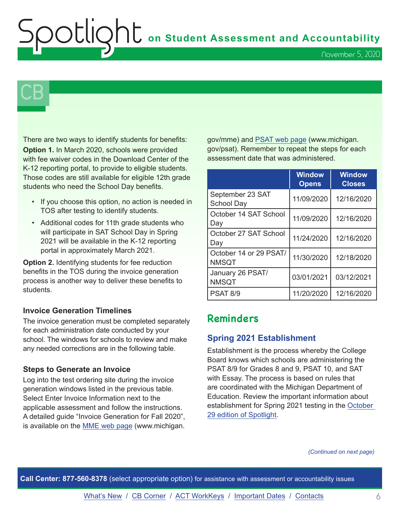# **Shows** on Student Assessment and Accountability

November 5, 2020

# $\mathsf{CB}\,\mathsf{I}$

There are two ways to identify students for benefits: **Option 1.** In March 2020, schools were provided with fee waiver codes in the Download Center of the K-12 reporting portal, to provide to eligible students. Those codes are still available for eligible 12th grade students who need the School Day benefits.

- If you choose this option, no action is needed in TOS after testing to identify students.
- Additional codes for 11th grade students who will participate in SAT School Day in Spring 2021 will be available in the K-12 reporting portal in approximately March 2021.

**Option 2.** Identifying students for fee reduction benefits in the TOS during the invoice generation process is another way to deliver these benefits to students.

## **Invoice Generation Timelines**

The invoice generation must be completed separately for each administration date conducted by your school. The windows for schools to review and make any needed corrections are in the following table.

#### **Steps to Generate an Invoice**

Log into the test ordering site during the invoice generation windows listed in the previous table. Select Enter Invoice Information next to the applicable assessment and follow the instructions. A detailed guide "Invoice Generation for Fall 2020", is available on the [MME web page](www.michigan.gov/mme) (www.michigan.

gov/mme) and [PSAT web page](http://www.michigan.gov/psat) (www.michigan. gov/psat). Remember to repeat the steps for each assessment date that was administered.

|                                        | <b>Window</b><br><b>Opens</b> | <b>Window</b><br><b>Closes</b> |
|----------------------------------------|-------------------------------|--------------------------------|
| September 23 SAT<br><b>School Day</b>  | 11/09/2020                    | 12/16/2020                     |
| October 14 SAT School<br>Day           | 11/09/2020                    | 12/16/2020                     |
| October 27 SAT School<br>Day           | 11/24/2020                    | 12/16/2020                     |
| October 14 or 29 PSAT/<br><b>NMSQT</b> | 11/30/2020                    | 12/18/2020                     |
| January 26 PSAT/<br><b>NMSQT</b>       | 03/01/2021                    | 03/12/2021                     |
| <b>PSAT 8/9</b>                        | 11/20/2020                    | 12/16/2020                     |

## **Reminders**

## **Spring 2021 Establishment**

Establishment is the process whereby the College Board knows which schools are administering the PSAT 8/9 for Grades 8 and 9, PSAT 10, and SAT with Essay. The process is based on rules that are coordinated with the Michigan Department of Education. Review the important information about establishment for Spring 2021 testing in the [October](https://www.michigan.gov/documents/mde/Spotlight_10-29-20_706526_7.pdf)  [29 edition of Spotlight](https://www.michigan.gov/documents/mde/Spotlight_10-29-20_706526_7.pdf).

*(Continued on next page)*

**Call Center: 877-560-8378** (select appropriate option) for assistance with assessment or accountability issues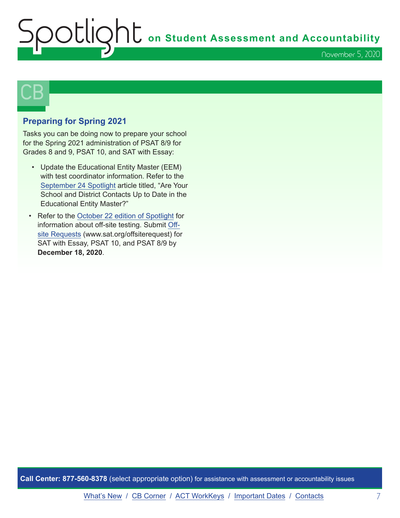# **Shums** on Student Assessment and Accountability November 5, 2020



## **Preparing for Spring 2021**

Tasks you can be doing now to prepare your school for the Spring 2021 administration of PSAT 8/9 for Grades 8 and 9, PSAT 10, and SAT with Essay:

- Update the Educational Entity Master (EEM) with test coordinator information. Refer to the [September 24 Spotlight](https://www.michigan.gov/documents/mde/Spotlight_9-24-20_703294_7.pdf) article titled, "Are Your School and District Contacts Up to Date in the Educational Entity Master?"
- Refer to the [October 22 edition of Spotlight](https://www.michigan.gov/documents/mde/Spotlight_10-22-20_705870_7.pdf) for information about off-site testing. Submit [Off](https://docs.google.com/forms/d/e/1FAIpQLSfSTKnzdyk5RIlXJ1e-rgX0U1vDoEYKFBHld3rl3nDsmICJvA/viewform)[site Requests](https://docs.google.com/forms/d/e/1FAIpQLSfSTKnzdyk5RIlXJ1e-rgX0U1vDoEYKFBHld3rl3nDsmICJvA/viewform) (www.sat.org/offsiterequest) for SAT with Essay, PSAT 10, and PSAT 8/9 by **December 18, 2020**.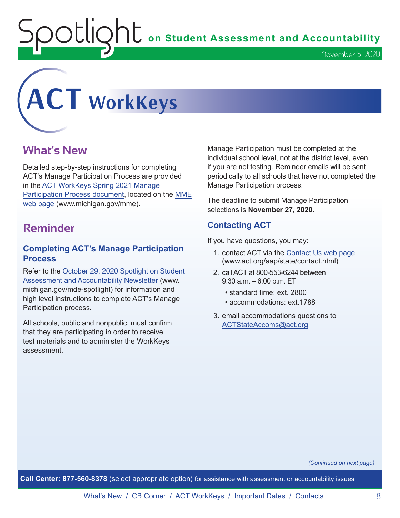$\sum_{i=1}^{n} \sum_{i=1}^{n} \sigma_i$  on Student Assessment and Accountability

<span id="page-7-0"></span>

## **What's New**

Detailed step-by-step instructions for completing ACT's Manage Participation Process are provided in the [ACT WorkKeys Spring 2021 Manage](https://www.michigan.gov/documents/mde/ACT_WorkKeys_Spring_2021_Manage_Participation_Guide_706807_7.pdf)  [Participation Process document,](https://www.michigan.gov/documents/mde/ACT_WorkKeys_Spring_2021_Manage_Participation_Guide_706807_7.pdf) located on the [MME](www.michigan.gov/mme)  [web page](www.michigan.gov/mme) (www.michigan.gov/mme).

## **Reminder**

## **Completing ACT's Manage Participation Process**

Refer to the [October 29, 2020 Spotlight on Student](https://www.michigan.gov/documents/mde/Spotlight_10-29-20_706526_7.pdf)  [Assessment and Accountability Newsletter](https://www.michigan.gov/documents/mde/Spotlight_10-29-20_706526_7.pdf) (www. michigan.gov/mde-spotlight) for information and high level instructions to complete ACT's Manage Participation process.

All schools, public and nonpublic, must confirm that they are participating in order to receive test materials and to administer the WorkKeys assessment.

Manage Participation must be completed at the individual school level, not at the district level, even if you are not testing. Reminder emails will be sent periodically to all schools that have not completed the Manage Participation process.

The deadline to submit Manage Participation selections is **November 27, 2020**.

## **Contacting ACT**

If you have questions, you may:

- 1. contact ACT via the [Contact Us web page](http://www.act.org/aap/state/contact.html) ([www.act.org/aap/state/contact.html](https://www.act.org/aap/state/contact.html))
- 2. call ACT at 800-553-6244 between 9:30 a.m. – 6:00 p.m. ET
	- standard time: ext. 2800
	- accommodations: ext.1788
- 3. email accommodations questions to [ACTStateAccoms@act.org](mailto:ACTStateAccoms%40act.org?subject=)

*(Continued on next page)*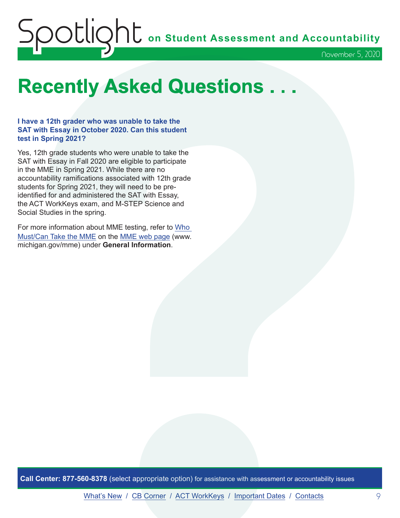# <span id="page-8-0"></span>Spotlight **on Student Assessment and Accountability** November 5, 2020

# **Recently Asked Questions . . .**

**I have a 12th grader who was unable to take the SAT with Essay in October 2020. Can this student test in Spring 2021?**

Yes, 12th grade students who were unable to take the SAT with Essay in Fall 2020 are eligible to participate in the MME in Spring 2021. While there are no accountability ramifications associated with 12th grade students for Spring 2021, they will need to be preidentified for and administered the SAT with Essay, the ACT WorkKeys exam, and M-STEP Science and Social Studies in the spring.

For more information about MME testing, refer to [Who](https://www.michigan.gov/documents/mde/MME_Eligibility_544301_7.pdf)  [Must/Can Take the MME](https://www.michigan.gov/documents/mde/MME_Eligibility_544301_7.pdf) on the [MME web page](www.michigan.gov/mme) (www. michigan.gov/mme) under **General Information**.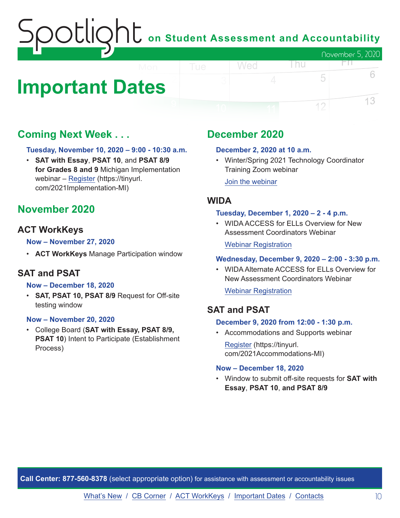# on Student Assessment and Accountability November 5, 2020

# <span id="page-9-0"></span>**Important Dates**

## **Coming Next Week . . .**

## **Tuesday, November 10, 2020 – 9:00 - 10:30 a.m.**

• **SAT with Essay**, **PSAT 10**, and **PSAT 8/9 for Grades 8 and 9** Michigan Implementation webinar – [Register](https://tinyurl.com/2021Implementation-MI) (https://tinyurl. com/2021Implementation-MI)

## **November 2020**

## **ACT WorkKeys**

## **Now – November 27, 2020**

• **ACT WorkKeys** Manage Participation window

## **SAT and PSAT**

#### **Now – December 18, 2020**

• **SAT, PSAT 10, PSAT 8/9** Request for Off-site testing window

#### **Now – November 20, 2020**

• College Board (**SAT with Essay, PSAT 8/9, PSAT 10**) Intent to Participate (Establishment Process)

## **December 2020**

Wed

#### **December 2, 2020 at 10 a.m.**

• Winter/Spring 2021 Technology Coordinator Training Zoom webinar

l nu

FП.

5

12

6

13

[Join the webinar](https://datarecognitioncorp.zoom.us/j/99441419689)

## **WIDA**

#### **Tuesday, December 1, 2020 – 2 - 4 p.m.**

• WIDA ACCESS for ELLs Overview for New Assessment Coordinators Webinar

#### [Webinar Registration](https://fall_2020_wida_access_for_ells_overview_webinar.eventbrite.com)

#### **Wednesday, December 9, 2020 – 2:00 - 3:30 p.m.**

• WIDA Alternate ACCESS for ELLs Overview for New Assessment Coordinators Webinar

[Webinar Registration](https://fall_2020_wida_alternate_access_for_ells_overview.eventbrite.com)

## **SAT and PSAT**

#### **December 9, 2020 from 12:00 - 1:30 p.m.**

• Accommodations and Supports webinar

[Register](https://tinyurl.com/2021Accommodations-MI) (https://tinyurl. com/2021Accommodations-MI)

#### **Now – December 18, 2020**

• Window to submit off-site requests for **SAT with Essay**, **PSAT 10**, **and PSAT 8/9**